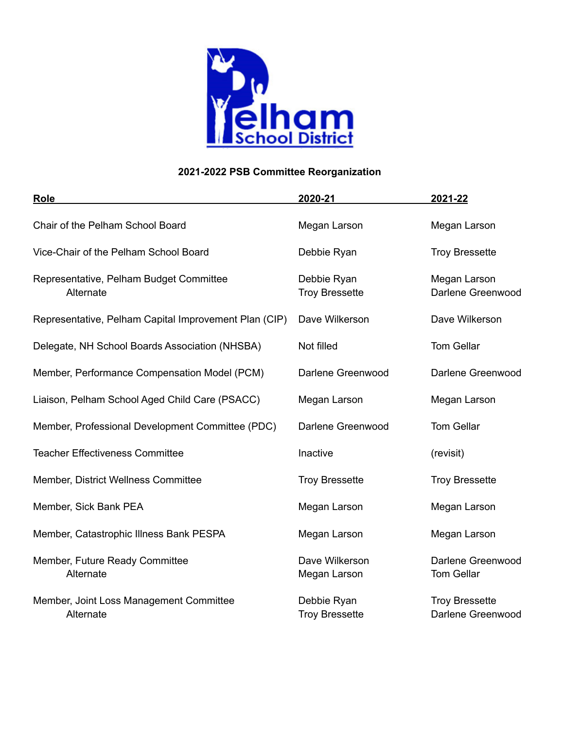

| <b>Role</b>                                           | 2020-21                              | 2021-22                                    |
|-------------------------------------------------------|--------------------------------------|--------------------------------------------|
| Chair of the Pelham School Board                      | Megan Larson                         | Megan Larson                               |
| Vice-Chair of the Pelham School Board                 | Debbie Ryan                          | <b>Troy Bressette</b>                      |
| Representative, Pelham Budget Committee<br>Alternate  | Debbie Ryan<br><b>Troy Bressette</b> | Megan Larson<br>Darlene Greenwood          |
| Representative, Pelham Capital Improvement Plan (CIP) | Dave Wilkerson                       | Dave Wilkerson                             |
| Delegate, NH School Boards Association (NHSBA)        | Not filled                           | <b>Tom Gellar</b>                          |
| Member, Performance Compensation Model (PCM)          | Darlene Greenwood                    | Darlene Greenwood                          |
| Liaison, Pelham School Aged Child Care (PSACC)        | Megan Larson                         | Megan Larson                               |
| Member, Professional Development Committee (PDC)      | Darlene Greenwood                    | <b>Tom Gellar</b>                          |
| <b>Teacher Effectiveness Committee</b>                | Inactive                             | (revisit)                                  |
| Member, District Wellness Committee                   | <b>Troy Bressette</b>                | <b>Troy Bressette</b>                      |
| Member, Sick Bank PEA                                 | Megan Larson                         | Megan Larson                               |
| Member, Catastrophic Illness Bank PESPA               | Megan Larson                         | Megan Larson                               |
| Member, Future Ready Committee<br>Alternate           | Dave Wilkerson<br>Megan Larson       | Darlene Greenwood<br><b>Tom Gellar</b>     |
| Member, Joint Loss Management Committee<br>Alternate  | Debbie Ryan<br><b>Troy Bressette</b> | <b>Troy Bressette</b><br>Darlene Greenwood |